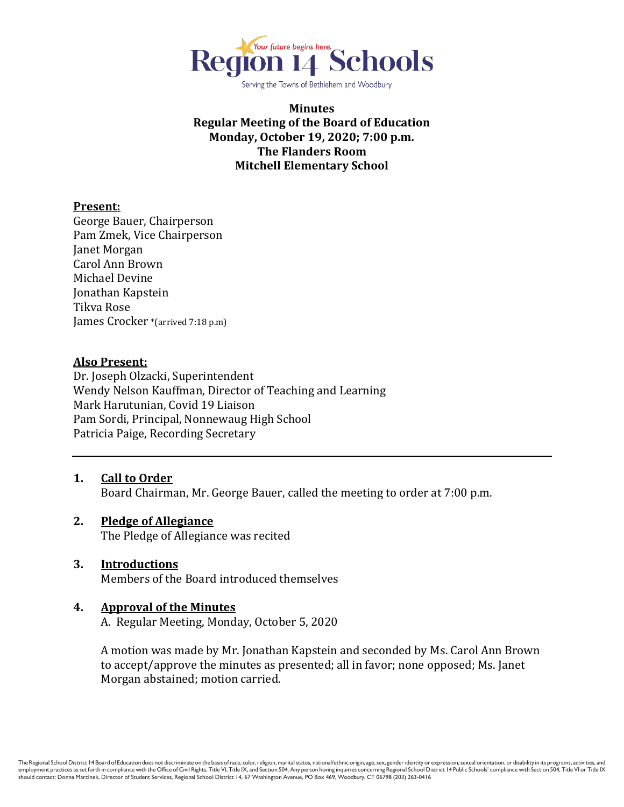

Serving the Towns of Bethlehem and Woodbury

**Minutes Regular Meeting of the Board of Education Monday, October 19, 2020; 7:00 p.m. The Flanders Room Mitchell Elementary School**

#### **Present:**

George Bauer, Chairperson Pam Zmek, Vice Chairperson Janet Morgan Carol Ann Brown Michael Devine Jonathan Kapstein Tikva Rose James Crocker \*(arrived 7:18 p.m)

#### **Also Present:**

Dr. Joseph Olzacki, Superintendent Wendy Nelson Kauffman, Director of Teaching and Learning Mark Harutunian, Covid 19 Liaison Pam Sordi, Principal, Nonnewaug High School Patricia Paige, Recording Secretary

- **1. Call to Order** Board Chairman, Mr. George Bauer, called the meeting to order at 7:00 p.m.
- **2. Pledge of Allegiance** The Pledge of Allegiance was recited
- **3. Introductions** Members of the Board introduced themselves
- **4. Approval of the Minutes**

A. Regular Meeting, Monday, October 5, 2020

A motion was made by Mr. Jonathan Kapstein and seconded by Ms. Carol Ann Brown to accept/approve the minutes as presented; all in favor; none opposed; Ms. Janet Morgan abstained; motion carried.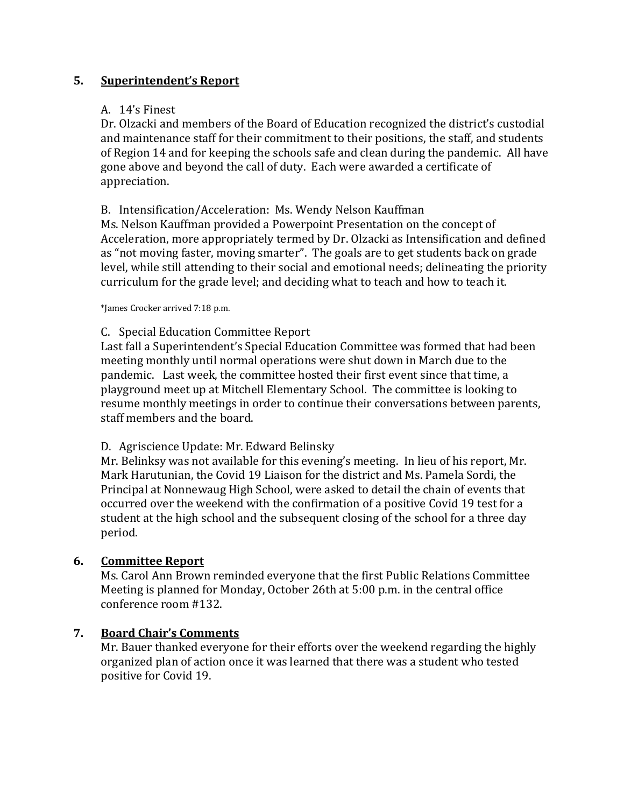### **5. Superintendent's Report**

### A. 14's Finest

Dr. Olzacki and members of the Board of Education recognized the district's custodial and maintenance staff for their commitment to their positions, the staff, and students of Region 14 and for keeping the schools safe and clean during the pandemic. All have gone above and beyond the call of duty. Each were awarded a certificate of appreciation.

### B. Intensification/Acceleration: Ms. Wendy Nelson Kauffman

Ms. Nelson Kauffman provided a Powerpoint Presentation on the concept of Acceleration, more appropriately termed by Dr. Olzacki as Intensification and defined as "not moving faster, moving smarter". The goals are to get students back on grade level, while still attending to their social and emotional needs; delineating the priority curriculum for the grade level; and deciding what to teach and how to teach it.

\*James Crocker arrived 7:18 p.m.

#### C. Special Education Committee Report

Last fall a Superintendent's Special Education Committee was formed that had been meeting monthly until normal operations were shut down in March due to the pandemic. Last week, the committee hosted their first event since that time, a playground meet up at Mitchell Elementary School. The committee is looking to resume monthly meetings in order to continue their conversations between parents, staff members and the board.

#### D. Agriscience Update: Mr. Edward Belinsky

Mr. Belinksy was not available for this evening's meeting. In lieu of his report, Mr. Mark Harutunian, the Covid 19 Liaison for the district and Ms. Pamela Sordi, the Principal at Nonnewaug High School, were asked to detail the chain of events that occurred over the weekend with the confirmation of a positive Covid 19 test for a student at the high school and the subsequent closing of the school for a three day period.

# **6. Committee Report**

Ms. Carol Ann Brown reminded everyone that the first Public Relations Committee Meeting is planned for Monday, October 26th at 5:00 p.m. in the central office conference room #132.

# **7. Board Chair's Comments**

Mr. Bauer thanked everyone for their efforts over the weekend regarding the highly organized plan of action once it was learned that there was a student who tested positive for Covid 19.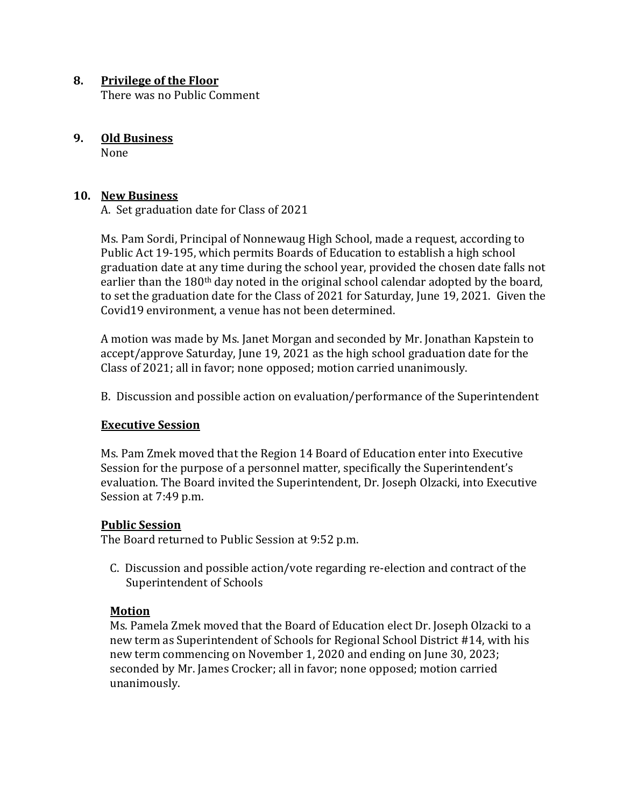#### **8. Privilege of the Floor**

There was no Public Comment

# **9. Old Business**

None

### **10. New Business**

A. Set graduation date for Class of 2021

Ms. Pam Sordi, Principal of Nonnewaug High School, made a request, according to Public Act 19-195, which permits Boards of Education to establish a high school graduation date at any time during the school year, provided the chosen date falls not earlier than the 180th day noted in the original school calendar adopted by the board, to set the graduation date for the Class of 2021 for Saturday, June 19, 2021. Given the Covid19 environment, a venue has not been determined.

A motion was made by Ms. Janet Morgan and seconded by Mr. Jonathan Kapstein to accept/approve Saturday, June 19, 2021 as the high school graduation date for the Class of 2021; all in favor; none opposed; motion carried unanimously.

B. Discussion and possible action on evaluation/performance of the Superintendent

# **Executive Session**

Ms. Pam Zmek moved that the Region 14 Board of Education enter into Executive Session for the purpose of a personnel matter, specifically the Superintendent's evaluation. The Board invited the Superintendent, Dr. Joseph Olzacki, into Executive Session at 7:49 p.m.

#### **Public Session**

The Board returned to Public Session at 9:52 p.m.

C. Discussion and possible action/vote regarding re-election and contract of the Superintendent of Schools

# **Motion**

Ms. Pamela Zmek moved that the Board of Education elect Dr. Joseph Olzacki to a new term as Superintendent of Schools for Regional School District #14, with his new term commencing on November 1, 2020 and ending on June 30, 2023; seconded by Mr. James Crocker; all in favor; none opposed; motion carried unanimously.